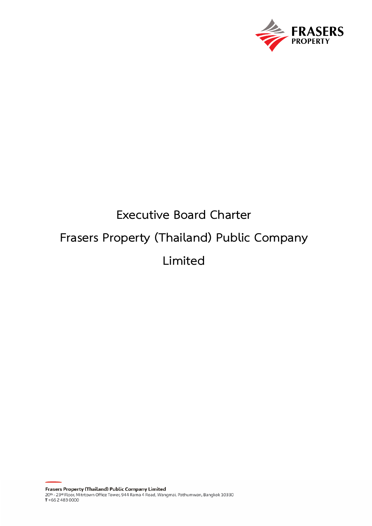

# **Executive Board Charter Frasers Property (Thailand) Public Company Limited**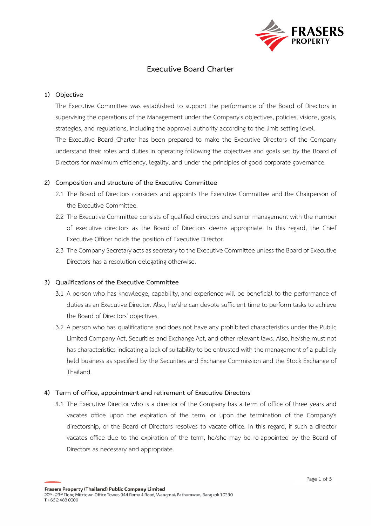

# **Executive Board Charter**

### **1) Objective**

The Executive Committee was established to support the performance of the Board of Directors in supervising the operations of the Management under the Company's objectives, policies, visions, goals, strategies, and regulations, including the approval authority according to the limit setting level. The Executive Board Charter has been prepared to make the Executive Directors of the Company understand their roles and duties in operating following the objectives and goals set by the Board of Directors for maximum efficiency, legality, and under the principles of good corporate governance.

#### **2) Composition and structure of the Executive Committee**

- 2.1 The Board of Directors considers and appoints the Executive Committee and the Chairperson of the Executive Committee.
- 2.2 The Executive Committee consists of qualified directors and senior management with the number of executive directors as the Board of Directors deems appropriate. In this regard, the Chief Executive Officer holds the position of Executive Director.
- 2.3 The Company Secretary acts as secretary to the Executive Committee unless the Board of Executive Directors has a resolution delegating otherwise.

#### **3) Qualifications of the Executive Committee**

- 3.1 A person who has knowledge, capability, and experience will be beneficial to the performance of duties as an Executive Director. Also, he/she can devote sufficient time to perform tasks to achieve the Board of Directors' objectives.
- 3.2 A person who has qualifications and does not have any prohibited characteristics under the Public Limited Company Act, Securities and Exchange Act, and other relevant laws. Also, he/she must not has characteristics indicating a lack of suitability to be entrusted with the management of a publicly held business as specified by the Securities and Exchange Commission and the Stock Exchange of Thailand.

#### **4) Term of office, appointment and retirement of Executive Directors**

4.1 The Executive Director who is a director of the Company has a term of office of three years and vacates office upon the expiration of the term, or upon the termination of the Company's directorship, or the Board of Directors resolves to vacate office. In this regard, if such a director vacates office due to the expiration of the term, he/she may be re-appointed by the Board of Directors as necessary and appropriate.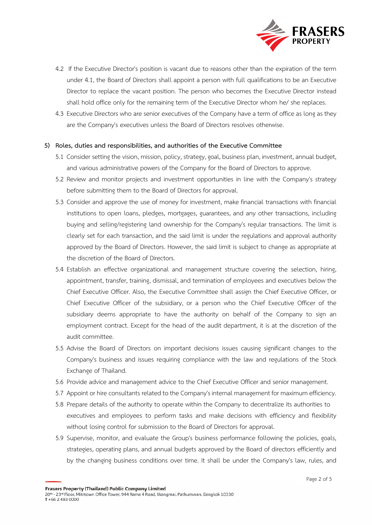

- 4.2 If the Executive Director's position is vacant due to reasons other than the expiration of the term under 4.1, the Board of Directors shall appoint a person with full qualifications to be an Executive Director to replace the vacant position. The person who becomes the Executive Director instead shall hold office only for the remaining term of the Executive Director whom he/ she replaces.
- 4.3 Executive Directors who are senior executives of the Company have a term of office as long as they are the Company's executives unless the Board of Directors resolves otherwise.

# **5) Roles, duties and responsibilities, and authorities of the Executive Committee**

- 5.1 Consider setting the vision, mission, policy, strategy, goal, business plan, investment, annual budget, and various administrative powers of the Company for the Board of Directors to approve.
- 5.2 Review and monitor projects and investment opportunities in line with the Company's strategy before submitting them to the Board of Directors for approval.
- 5.3 Consider and approve the use of money for investment, make financial transactions with financial institutions to open loans, pledges, mortgages, guarantees, and any other transactions, including buying and selling/registering land ownership for the Company's regular transactions. The limit is clearly set for each transaction, and the said limit is under the regulations and approval authority approved by the Board of Directors. However, the said limit is subject to change as appropriate at the discretion of the Board of Directors.
- 5.4 Establish an effective organizational and management structure covering the selection, hiring, appointment, transfer, training, dismissal, and termination of employees and executives below the Chief Executive Officer. Also, the Executive Committee shall assign the Chief Executive Officer, or Chief Executive Officer of the subsidiary, or a person who the Chief Executive Officer of the subsidiary deems appropriate to have the authority on behalf of the Company to sign an employment contract. Except for the head of the audit department, it is at the discretion of the audit committee.
- 5.5 Advise the Board of Directors on important decisions issues causing significant changes to the Company's business and issues requiring compliance with the law and regulations of the Stock Exchange of Thailand.
- 5.6 Provide advice and management advice to the Chief Executive Officer and senior management.
- 5.7 Appoint or hire consultants related to the Company's internal management for maximum efficiency.
- 5.8 Prepare details of the authority to operate within the Company to decentralize its authorities to executives and employees to perform tasks and make decisions with efficiency and flexibility without losing control for submission to the Board of Directors for approval.
- 5.9 Supervise, monitor, and evaluate the Group's business performance following the policies, goals, strategies, operating plans, and annual budgets approved by the Board of directors efficiently and by the changing business conditions over time. It shall be under the Company's law, rules, and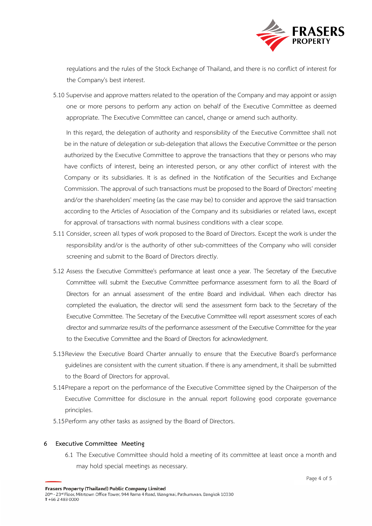

regulations and the rules of the Stock Exchange of Thailand, and there is no conflict of interest for the Company's best interest.

5.10 Supervise and approve matters related to the operation of the Company and may appoint or assign one or more persons to perform any action on behalf of the Executive Committee as deemed appropriate. The Executive Committee can cancel, change or amend such authority.

In this regard, the delegation of authority and responsibility of the Executive Committee shall not be in the nature of delegation or sub-delegation that allows the Executive Committee or the person authorized by the Executive Committee to approve the transactions that they or persons who may have conflicts of interest, being an interested person, or any other conflict of interest with the Company or its subsidiaries. It is as defined in the Notification of the Securities and Exchange Commission. The approval of such transactions must be proposed to the Board of Directors' meeting and/or the shareholders' meeting (as the case may be) to consider and approve the said transaction according to the Articles of Association of the Company and its subsidiaries or related laws, except for approval of transactions with normal business conditions with a clear scope.

- 5.11 Consider, screen all types of work proposed to the Board of Directors. Except the work is under the responsibility and/or is the authority of other sub-committees of the Company who will consider screening and submit to the Board of Directors directly.
- 5.12 Assess the Executive Committee's performance at least once a year. The Secretary of the Executive Committee will submit the Executive Committee performance assessment form to all the Board of Directors for an annual assessment of the entire Board and individual. When each director has completed the evaluation, the director will send the assessment form back to the Secretary of the Executive Committee. The Secretary of the Executive Committee will report assessment scores of each director and summarize results of the performance assessment of the Executive Committee for the year to the Executive Committee and the Board of Directors for acknowledgment.
- 5.13Review the Executive Board Charter annually to ensure that the Executive Board's performance guidelines are consistent with the current situation. If there is any amendment, it shall be submitted to the Board of Directors for approval.
- 5.14Prepare a report on the performance of the Executive Committee signed by the Chairperson of the Executive Committee for disclosure in the annual report following good corporate governance principles.
- 5.15Perform any other tasks as assigned by the Board of Directors.

# **6 Executive Committee Meeting**

6.1 The Executive Committee should hold a meeting of its committee at least once a month and may hold special meetings as necessary.